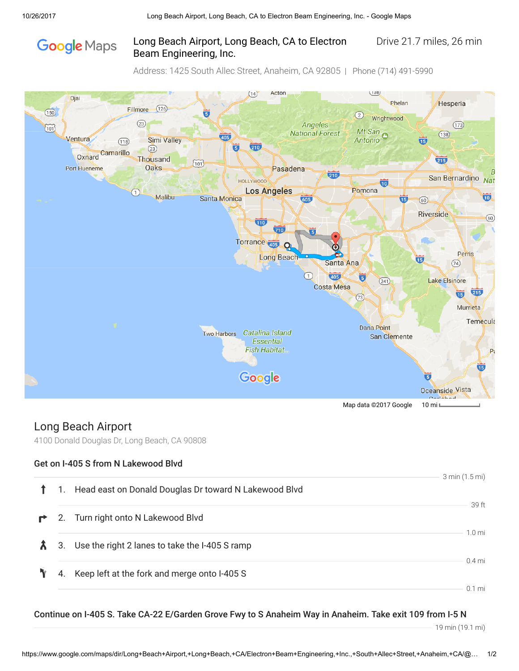# **Google** Maps

#### Long Beach Airport, Long Beach, CA to Electron Drive 21.7 miles, 26 min Beam Engineering, Inc.

Address: 1425 South Allec Street, Anaheim, CA 92805 | Phone (714) 491-5990



## Long Beach Airport

4100 Donald Douglas Dr, Long Beach, CA 90808

#### Get on I-405 S from N Lakewood Blvd

|   |                |                                                       | 3 min (1.5 mi)   |
|---|----------------|-------------------------------------------------------|------------------|
|   | $\mathbf{1}$ . | Head east on Donald Douglas Dr toward N Lakewood Blvd |                  |
|   |                |                                                       | 39 ft            |
| ₹ | 2.             | Turn right onto N Lakewood Blvd                       |                  |
|   |                |                                                       | $1.0 \text{ mi}$ |
|   |                | 3. Use the right 2 lanes to take the I-405 S ramp     |                  |
|   |                |                                                       | $0.4$ mi         |
|   | 4.             | Keep left at the fork and merge onto I-405 S          |                  |
|   |                |                                                       | $0.1$ mi         |

#### Continue on I-405 S. Take CA-22 E/Garden Grove Fwy to S Anaheim Way in Anaheim. Take exit 109 from I-5 N

19 min (19.1 mi)